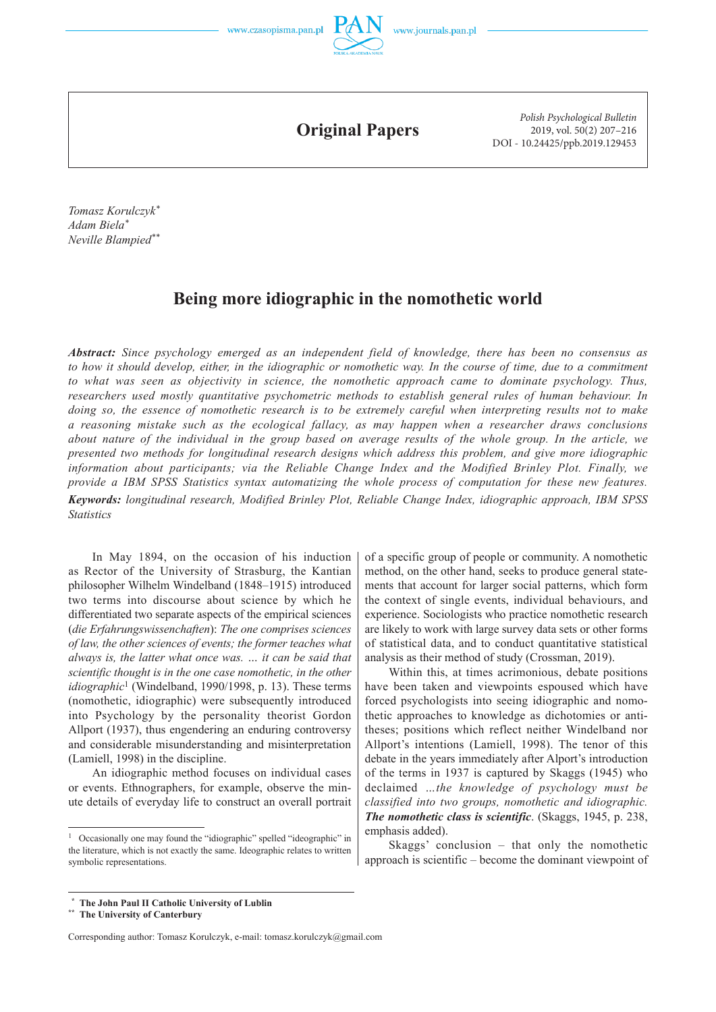

**Original Papers**

*Polish Psychological Bulletin* 2019, vol. 50(2) 207–216 DOI - 10.24425/ppb.2019.129453

*Tomasz Korulczyk\* Adam Biela\* Neville Blampied\*\**

*Statistics*

# **Being more idiographic in the nomothetic world**

*Abstract: Since psychology emerged as an independent field of knowledge, there has been no consensus as to how it should develop, either, in the idiographic or nomothetic way. In the course of time, due to a commitment to what was seen as objectivity in science, the nomothetic approach came to dominate psychology. Thus, researchers used mostly quantitative psychometric methods to establish general rules of human behaviour. In doing so, the essence of nomothetic research is to be extremely careful when interpreting results not to make a reasoning mistake such as the ecological fallacy, as may happen when a researcher draws conclusions about nature of the individual in the group based on average results of the whole group. In the article, we presented two methods for longitudinal research designs which address this problem, and give more idiographic information about participants; via the Reliable Change Index and the Modified Brinley Plot. Finally, we provide a IBM SPSS Statistics syntax automatizing the whole process of computation for these new features. Keywords: longitudinal research, Modified Brinley Plot, Reliable Change Index, idiographic approach, IBM SPSS* 

In May 1894, on the occasion of his induction as Rector of the University of Strasburg, the Kantian philosopher Wilhelm Windelband (1848–1915) introduced two terms into discourse about science by which he differentiated two separate aspects of the empirical sciences (*die Erfahrungswissenchaften*): *The one comprises sciences of law, the other sciences of events; the former teaches what always is, the latter what once was. … it can be said that scientific thought is in the one case nomothetic, in the other idiographic*<sup>1</sup> (Windelband, 1990/1998, p. 13). These terms (nomothetic, idiographic) were subsequently introduced into Psychology by the personality theorist Gordon Allport (1937), thus engendering an enduring controversy and considerable misunderstanding and misinterpretation (Lamiell, 1998) in the discipline.

An idiographic method focuses on individual cases or events. Ethnographers, for example, observe the minute details of everyday life to construct an overall portrait

of a specific group of people or community. A nomothetic method, on the other hand, seeks to produce general statements that account for larger social patterns, which form the context of single events, individual behaviours, and experience. Sociologists who practice nomothetic research are likely to work with large survey data sets or other forms of statistical data, and to conduct quantitative statistical analysis as their method of study (Crossman, 2019).

Within this, at times acrimonious, debate positions have been taken and viewpoints espoused which have forced psychologists into seeing idiographic and nomothetic approaches to knowledge as dichotomies or antitheses; positions which reflect neither Windelband nor Allport's intentions (Lamiell, 1998). The tenor of this debate in the years immediately after Alport's introduction of the terms in 1937 is captured by Skaggs (1945) who declaimed *…the knowledge of psychology must be classified into two groups, nomothetic and idiographic. The nomothetic class is scientific*. (Skaggs, 1945, p. 238, emphasis added).

Skaggs' conclusion – that only the nomothetic approach is scientific – become the dominant viewpoint of

<sup>&</sup>lt;sup>1</sup> Occasionally one may found the "idiographic" spelled "ideographic" in the literature, which is not exactly the same. Ideographic relates to written symbolic representations.

 **<sup>\*</sup> The John Paul II Catholic University of Lublin**

**<sup>\*\*</sup> The University of Canterbury**

Corresponding author: Tomasz Korulczyk, e-mail: tomasz.korulczyk@gmail.com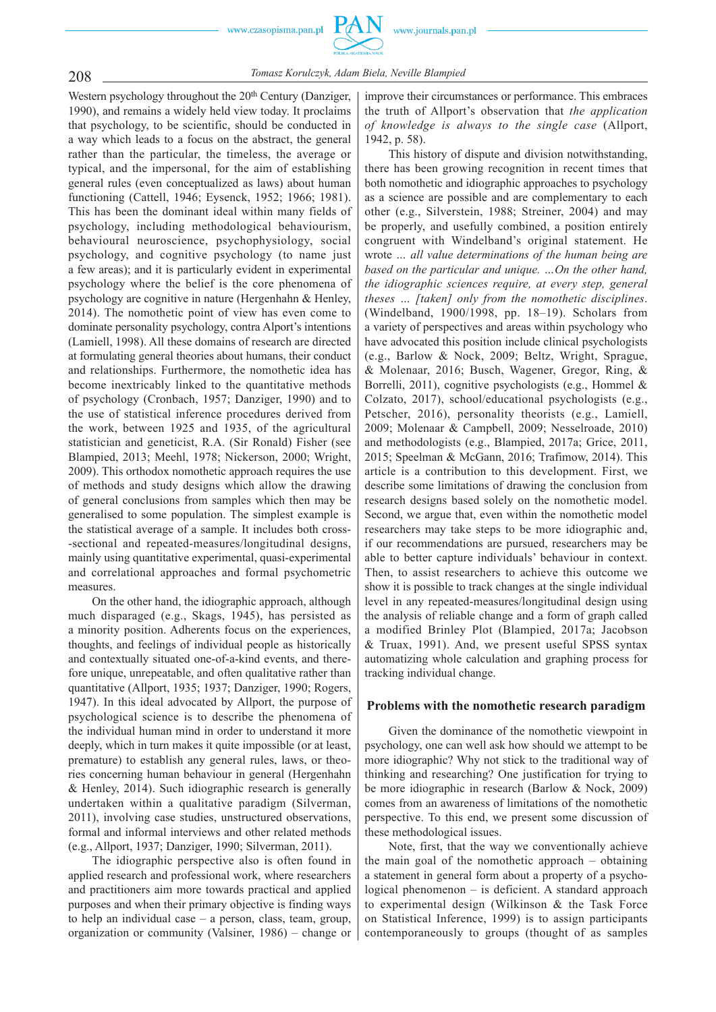

208 *Tomasz Korulczyk, Adam Biela, Neville Blampied*

Western psychology throughout the 20<sup>th</sup> Century (Danziger, 1990), and remains a widely held view today. It proclaims that psychology, to be scientific, should be conducted in a way which leads to a focus on the abstract, the general rather than the particular, the timeless, the average or typical, and the impersonal, for the aim of establishing general rules (even conceptualized as laws) about human functioning (Cattell, 1946; Eysenck, 1952; 1966; 1981). This has been the dominant ideal within many fields of psychology, including methodological behaviourism, behavioural neuroscience, psychophysiology, social psychology, and cognitive psychology (to name just a few areas); and it is particularly evident in experimental psychology where the belief is the core phenomena of psychology are cognitive in nature (Hergenhahn & Henley, 2014). The nomothetic point of view has even come to dominate personality psychology, contra Alport's intentions (Lamiell, 1998). All these domains of research are directed at formulating general theories about humans, their conduct and relationships. Furthermore, the nomothetic idea has become inextricably linked to the quantitative methods of psychology (Cronbach, 1957; Danziger, 1990) and to the use of statistical inference procedures derived from the work, between 1925 and 1935, of the agricultural statistician and geneticist, R.A. (Sir Ronald) Fisher (see Blampied, 2013; Meehl, 1978; Nickerson, 2000; Wright, 2009). This orthodox nomothetic approach requires the use of methods and study designs which allow the drawing of general conclusions from samples which then may be generalised to some population. The simplest example is the statistical average of a sample. It includes both cross- -sectional and repeated-measures/longitudinal designs, mainly using quantitative experimental, quasi -experimental and correlational approaches and formal psychometric measures.

On the other hand, the idiographic approach, although much disparaged (e.g., Skags, 1945), has persisted as a minority position. Adherents focus on the experiences, thoughts, and feelings of individual people as historically and contextually situated one -of -a -kind events, and therefore unique, unrepeatable, and often qualitative rather than quantitative (Allport, 1935; 1937; Danziger, 1990; Rogers, 1947). In this ideal advocated by Allport, the purpose of psychological science is to describe the phenomena of the individual human mind in order to understand it more deeply, which in turn makes it quite impossible (or at least, premature) to establish any general rules, laws, or theories concerning human behaviour in general (Hergenhahn & Henley, 2014). Such idiographic research is generally undertaken within a qualitative paradigm (Silverman, 2011), involving case studies, unstructured observations, formal and informal interviews and other related methods (e.g., Allport, 1937; Danziger, 1990; Silverman, 2011).

The idiographic perspective also is often found in applied research and professional work, where researchers and practitioners aim more towards practical and applied purposes and when their primary objective is finding ways to help an individual case – a person, class, team, group, organization or community (Valsiner, 1986) – change or

improve their circumstances or performance. This embraces the truth of Allport's observation that *the application of knowledge is always to the single case* (Allport, 1942, p. 58).

This history of dispute and division notwithstanding, there has been growing recognition in recent times that both nomothetic and idiographic approaches to psychology as a science are possible and are complementary to each other (e.g., Silverstein, 1988; Streiner, 2004) and may be properly, and usefully combined, a position entirely congruent with Windelband's original statement. He wrote *… all value determinations of the human being are based on the particular and unique. …On the other hand, the idiographic sciences require, at every step, general theses … [taken] only from the nomothetic disciplines*. (Windelband, 1900/1998, pp. 18–19). Scholars from a variety of perspectives and areas within psychology who have advocated this position include clinical psychologists (e.g., Barlow & Nock, 2009; Beltz, Wright, Sprague, & Molenaar, 2016; Busch, Wagener, Gregor, Ring, & Borrelli, 2011), cognitive psychologists (e.g., Hommel & Colzato, 2017), school/educational psychologists (e.g., Petscher, 2016), personality theorists (e.g., Lamiell, 2009; Molenaar & Campbell, 2009; Nesselroade, 2010) and methodologists (e.g., Blampied, 2017a; Grice, 2011, 2015; Speelman & McGann, 2016; Trafimow, 2014). This article is a contribution to this development. First, we describe some limitations of drawing the conclusion from research designs based solely on the nomothetic model. Second, we argue that, even within the nomothetic model researchers may take steps to be more idiographic and, if our recommendations are pursued, researchers may be able to better capture individuals' behaviour in context. Then, to assist researchers to achieve this outcome we show it is possible to track changes at the single individual level in any repeated-measures/longitudinal design using the analysis of reliable change and a form of graph called a modified Brinley Plot (Blampied, 2017a; Jacobson & Truax, 1991). And, we present useful SPSS syntax automatizing whole calculation and graphing process for tracking individual change.

#### **Problems with the nomothetic research paradigm**

Given the dominance of the nomothetic viewpoint in psychology, one can well ask how should we attempt to be more idiographic? Why not stick to the traditional way of thinking and researching? One justification for trying to be more idiographic in research (Barlow & Nock, 2009) comes from an awareness of limitations of the nomothetic perspective. To this end, we present some discussion of these methodological issues.

Note, first, that the way we conventionally achieve the main goal of the nomothetic approach – obtaining a statement in general form about a property of a psychological phenomenon – is deficient. A standard approach to experimental design (Wilkinson & the Task Force on Statistical Inference, 1999) is to assign participants contemporaneously to groups (thought of as samples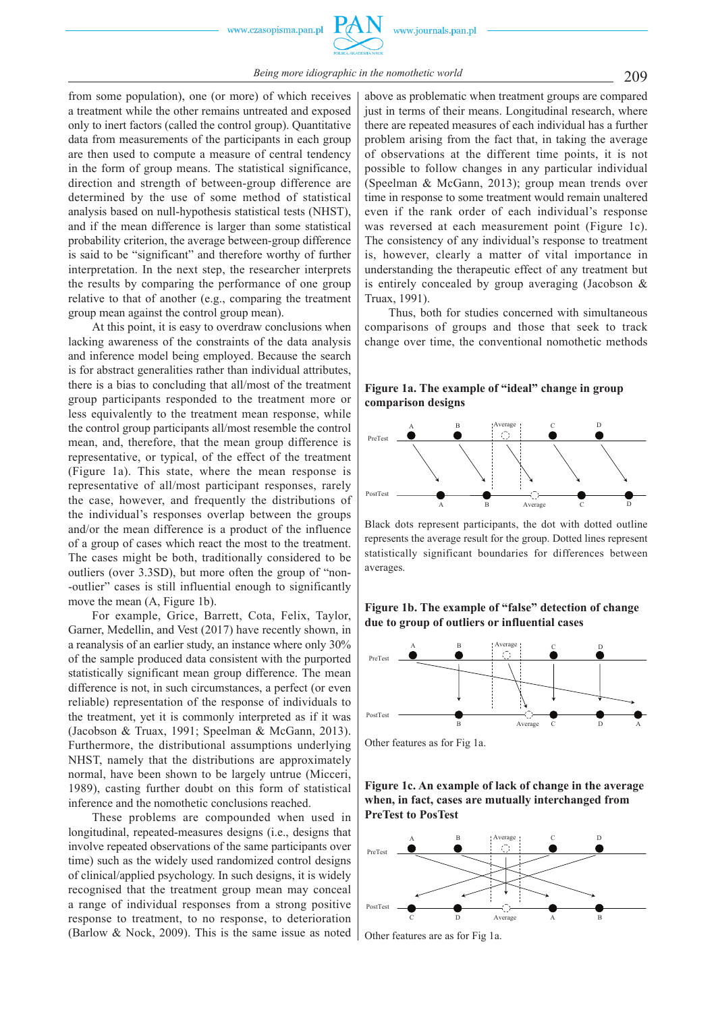from some population), one (or more) of which receives a treatment while the other remains untreated and exposed only to inert factors (called the control group). Quantitative data from measurements of the participants in each group are then used to compute a measure of central tendency in the form of group means. The statistical significance, direction and strength of between -group difference are determined by the use of some method of statistical analysis based on null -hypothesis statistical tests (NHST), and if the mean difference is larger than some statistical probability criterion, the average between -group difference is said to be "significant" and therefore worthy of further interpretation. In the next step, the researcher interprets the results by comparing the performance of one group relative to that of another (e.g., comparing the treatment group mean against the control group mean).

At this point, it is easy to overdraw conclusions when lacking awareness of the constraints of the data analysis and inference model being employed. Because the search is for abstract generalities rather than individual attributes, there is a bias to concluding that all/most of the treatment group participants responded to the treatment more or less equivalently to the treatment mean response, while the control group participants all/most resemble the control mean, and, therefore, that the mean group difference is representative, or typical, of the effect of the treatment (Figure 1a). This state, where the mean response is representative of all/most participant responses, rarely the case, however, and frequently the distributions of the individual's responses overlap between the groups and/or the mean difference is a product of the influence of a group of cases which react the most to the treatment. The cases might be both, traditionally considered to be outliers (over 3.3SD), but more often the group of "non- -outlier" cases is still influential enough to significantly move the mean (A, Figure 1b).

For example, Grice, Barrett, Cota, Felix, Taylor, Garner, Medellin, and Vest (2017) have recently shown, in a reanalysis of an earlier study, an instance where only 30% of the sample produced data consistent with the purported statistically significant mean group difference. The mean difference is not, in such circumstances, a perfect (or even reliable) representation of the response of individuals to the treatment, yet it is commonly interpreted as if it was (Jacobson & Truax, 1991; Speelman & McGann, 2013). Furthermore, the distributional assumptions underlying NHST, namely that the distributions are approximately normal, have been shown to be largely untrue (Micceri, 1989), casting further doubt on this form of statistical inference and the nomothetic conclusions reached.

These problems are compounded when used in longitudinal, repeated -measures designs (i.e., designs that involve repeated observations of the same participants over time) such as the widely used randomized control designs of clinical/applied psychology. In such designs, it is widely recognised that the treatment group mean may conceal a range of individual responses from a strong positive response to treatment, to no response, to deterioration (Barlow & Nock, 2009). This is the same issue as noted

above as problematic when treatment groups are compared just in terms of their means. Longitudinal research, where there are repeated measures of each individual has a further problem arising from the fact that, in taking the average of observations at the different time points, it is not possible to follow changes in any particular individual (Speelman & McGann, 2013); group mean trends over time in response to some treatment would remain unaltered even if the rank order of each individual's response was reversed at each measurement point (Figure 1c). The consistency of any individual's response to treatment is, however, clearly a matter of vital importance in understanding the therapeutic effect of any treatment but is entirely concealed by group averaging (Jacobson & Truax, 1991).

Thus, both for studies concerned with simultaneous comparisons of groups and those that seek to track change over time, the conventional nomothetic methods

#### **Figure 1a. The example of "ideal" change in group comparison designs**



Black dots represent participants, the dot with dotted outline represents the average result for the group. Dotted lines represent statistically significant boundaries for differences between averages.





Other features as for Fig 1a.

**Figure 1c. An example of lack of change in the average when, in fact, cases are mutually interchanged from PreTest to PosTest**



Other features are as for Fig 1a.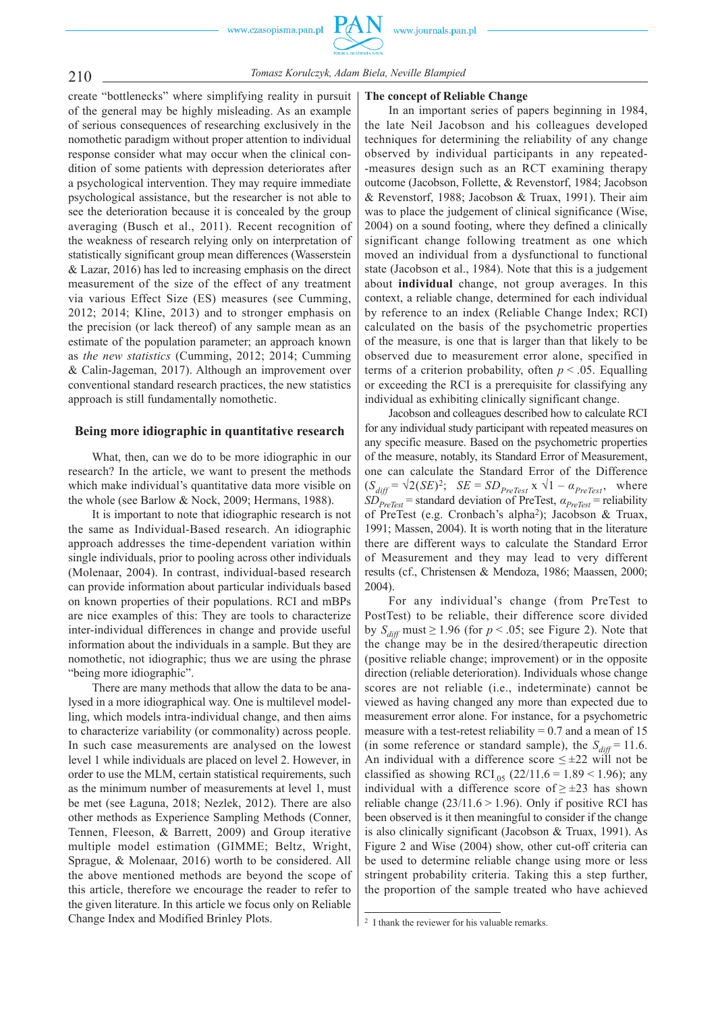www.journals.pan.pl



### 210 *Tomasz Korulczyk, Adam Biela, Neville Blampied*

create "bottlenecks" where simplifying reality in pursuit of the general may be highly misleading. As an example of serious consequences of researching exclusively in the nomothetic paradigm without proper attention to individual response consider what may occur when the clinical condition of some patients with depression deteriorates after a psychological intervention. They may require immediate psychological assistance, but the researcher is not able to see the deterioration because it is concealed by the group averaging (Busch et al., 2011). Recent recognition of the weakness of research relying only on interpretation of statistically significant group mean differences (Wasserstein & Lazar, 2016) has led to increasing emphasis on the direct measurement of the size of the effect of any treatment via various Effect Size (ES) measures (see Cumming, 2012; 2014; Kline, 2013) and to stronger emphasis on the precision (or lack thereof) of any sample mean as an estimate of the population parameter; an approach known as *the new statistics* (Cumming, 2012; 2014; Cumming & Calin -Jageman, 2017). Although an improvement over conventional standard research practices, the new statistics approach is still fundamentally nomothetic.

#### **Being more idiographic in quantitative research**

What, then, can we do to be more idiographic in our research? In the article, we want to present the methods which make individual's quantitative data more visible on the whole (see Barlow & Nock, 2009; Hermans, 1988).

It is important to note that idiographic research is not the same as Individual -Based research. An idiographic approach addresses the time -dependent variation within single individuals, prior to pooling across other individuals (Molenaar, 2004). In contrast, individual-based research can provide information about particular individuals based on known properties of their populations. RCI and mBPs are nice examples of this: They are tools to characterize inter -individual differences in change and provide useful information about the individuals in a sample. But they are nomothetic, not idiographic; thus we are using the phrase "being more idiographic".

There are many methods that allow the data to be analysed in a more idiographical way. One is multilevel modelling, which models intra -individual change, and then aims to characterize variability (or commonality) across people. In such case measurements are analysed on the lowest level 1 while individuals are placed on level 2. However, in order to use the MLM, certain statistical requirements, such as the minimum number of measurements at level 1, must be met (see Łaguna, 2018; Nezlek, 2012). There are also other methods as Experience Sampling Methods (Conner, Tennen, Fleeson, & Barrett, 2009) and Group iterative multiple model estimation (GIMME; Beltz, Wright, Sprague, & Molenaar, 2016) worth to be considered. All the above mentioned methods are beyond the scope of this article, therefore we encourage the reader to refer to the given literature. In this article we focus only on Reliable Change Index and Modified Brinley Plots.

#### **The concept of Reliable Change**

In an important series of papers beginning in 1984, the late Neil Jacobson and his colleagues developed techniques for determining the reliability of any change observed by individual participants in any repeated- -measures design such as an RCT examining therapy outcome (Jacobson, Follette, & Revenstorf, 1984; Jacobson & Revenstorf, 1988; Jacobson & Truax, 1991). Their aim was to place the judgement of clinical significance (Wise, 2004) on a sound footing, where they defined a clinically significant change following treatment as one which moved an individual from a dysfunctional to functional state (Jacobson et al., 1984). Note that this is a judgement about **individual** change, not group averages. In this context, a reliable change, determined for each individual by reference to an index (Reliable Change Index; RCI) calculated on the basis of the psychometric properties of the measure, is one that is larger than that likely to be observed due to measurement error alone, specified in terms of a criterion probability, often  $p < .05$ . Equalling or exceeding the RCI is a prerequisite for classifying any individual as exhibiting clinically significant change.

Jacobson and colleagues described how to calculate RCI for any individual study participant with repeated measures on any specific measure. Based on the psychometric properties of the measure, notably, its Standard Error of Measurement, one can calculate the Standard Error of the Difference  $(S_{diff} = \sqrt{2(SE)^2};$   $SE = SD_{PreTest} \times \sqrt{1 - a_{PreTest}}$ , where  $SD_{Prefest}$  = standard deviation of PreTest,  $a_{Prefest}$  = reliability of PreTest (e.g. Cronbach's alpha2); Jacobson & Truax, 1991; Massen, 2004). It is worth noting that in the literature there are different ways to calculate the Standard Error of Measurement and they may lead to very different results (cf., Christensen & Mendoza, 1986; Maassen, 2000; 2004).

For any individual's change (from PreTest to PostTest) to be reliable, their difference score divided by  $S_{diff}$  must  $\geq 1.96$  (for  $p < .05$ ; see Figure 2). Note that the change may be in the desired/therapeutic direction (positive reliable change; improvement) or in the opposite direction (reliable deterioration). Individuals whose change scores are not reliable (i.e., indeterminate) cannot be viewed as having changed any more than expected due to measurement error alone. For instance, for a psychometric measure with a test-retest reliability =  $0.7$  and a mean of 15 (in some reference or standard sample), the  $S_{diff} = 11.6$ . An individual with a difference score  $\leq \pm 22$  will not be classified as showing RCI<sub>05</sub> (22/11.6 = 1.89 < 1.96); any individual with a difference score of  $\geq \pm 23$  has shown reliable change  $(23/11.6 > 1.96)$ . Only if positive RCI has been observed is it then meaningful to consider if the change is also clinically significant (Jacobson & Truax, 1991). As Figure 2 and Wise (2004) show, other cut-off criteria can be used to determine reliable change using more or less stringent probability criteria. Taking this a step further, the proportion of the sample treated who have achieved

<sup>2</sup> I thank the reviewer for his valuable remarks.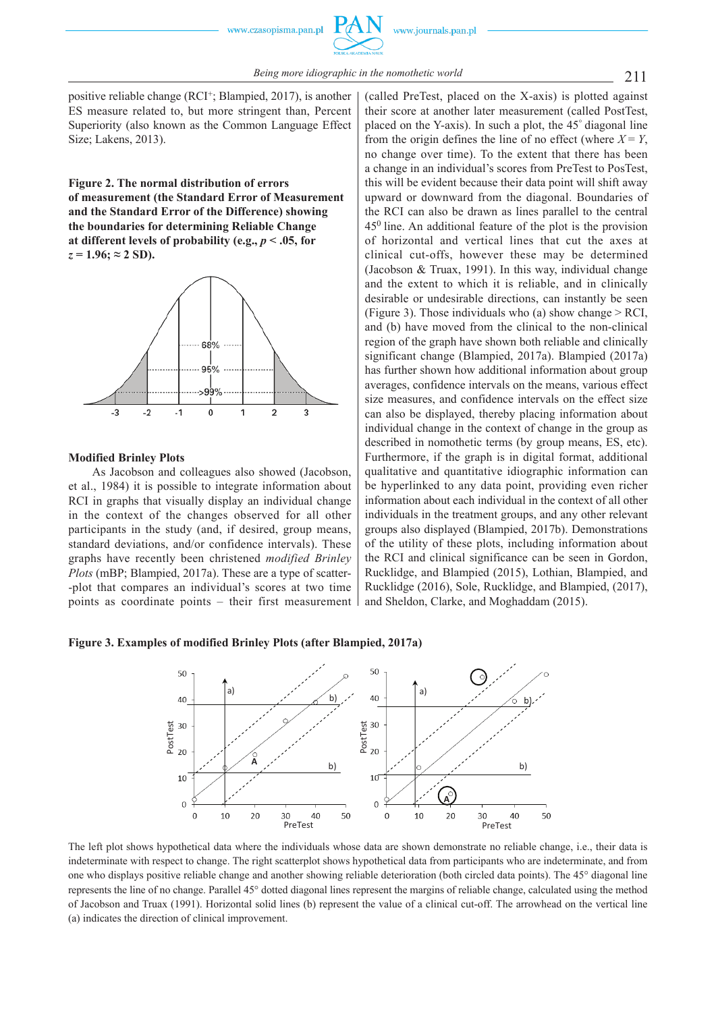positive reliable change (RCI+; Blampied, 2017), is another ES measure related to, but more stringent than, Percent Superiority (also known as the Common Language Effect Size; Lakens, 2013).

**Figure 2. The normal distribution of errors of measurement (the Standard Error of Measurement and the Standard Error of the Difference) showing the boundaries for determining Reliable Change**  at different levels of probability (e.g.,  $p < .05$ , for  $z = 1.96$ ;  $\approx 2$  SD).



#### **Modified Brinley Plots**

As Jacobson and colleagues also showed (Jacobson, et al., 1984) it is possible to integrate information about RCI in graphs that visually display an individual change in the context of the changes observed for all other participants in the study (and, if desired, group means, standard deviations, and/or confidence intervals). These graphs have recently been christened *modified Brinley Plots* (mBP; Blampied, 2017a). These are a type of scatter- -plot that compares an individual's scores at two time points as coordinate points – their first measurement (called PreTest, placed on the X -axis) is plotted against their score at another later measurement (called PostTest, placed on the Y-axis). In such a plot, the 45° diagonal line from the origin defines the line of no effect (where  $X = Y$ , no change over time). To the extent that there has been a change in an individual's scores from PreTest to PosTest, this will be evident because their data point will shift away upward or downward from the diagonal. Boundaries of the RCI can also be drawn as lines parallel to the central 450 line. An additional feature of the plot is the provision of horizontal and vertical lines that cut the axes at clinical cut -offs, however these may be determined (Jacobson & Truax, 1991). In this way, individual change and the extent to which it is reliable, and in clinically desirable or undesirable directions, can instantly be seen (Figure 3). Those individuals who (a) show change  $>$  RCI. and (b) have moved from the clinical to the non -clinical region of the graph have shown both reliable and clinically significant change (Blampied, 2017a). Blampied (2017a) has further shown how additional information about group averages, confidence intervals on the means, various effect size measures, and confidence intervals on the effect size can also be displayed, thereby placing information about individual change in the context of change in the group as described in nomothetic terms (by group means, ES, etc). Furthermore, if the graph is in digital format, additional qualitative and quantitative idiographic information can be hyperlinked to any data point, providing even richer information about each individual in the context of all other individuals in the treatment groups, and any other relevant groups also displayed (Blampied, 2017b). Demonstrations of the utility of these plots, including information about the RCI and clinical significance can be seen in Gordon, Rucklidge, and Blampied (2015), Lothian, Blampied, and Rucklidge (2016), Sole, Rucklidge, and Blampied, (2017), and Sheldon, Clarke, and Moghaddam (2015).

#### **Figure 3. Examples of modified Brinley Plots (after Blampied, 2017a)**



The left plot shows hypothetical data where the individuals whose data are shown demonstrate no reliable change, i.e., their data is indeterminate with respect to change. The right scatterplot shows hypothetical data from participants who are indeterminate, and from one who displays positive reliable change and another showing reliable deterioration (both circled data points). The 45° diagonal line represents the line of no change. Parallel 45° dotted diagonal lines represent the margins of reliable change, calculated using the method of Jacobson and Truax (1991). Horizontal solid lines (b) represent the value of a clinical cut -off. The arrowhead on the vertical line (a) indicates the direction of clinical improvement.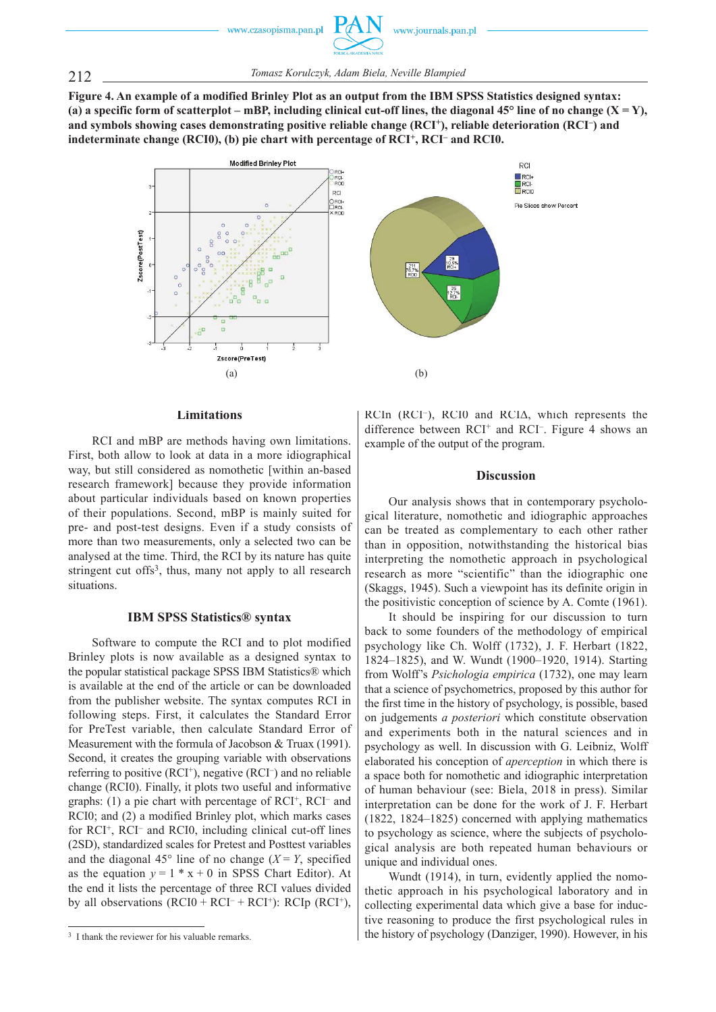212 *Tomasz Korulczyk, Adam Biela, Neville Blampied*

**Figure 4. An example of a modified Brinley Plot as an output from the IBM SPSS Statistics designed syntax:**  (a) a specific form of scatterplot – mBP, including clinical cut-off lines, the diagonal  $45^{\circ}$  line of no change  $(X = Y)$ , and symbols showing cases demonstrating positive reliable change (RCI<sup>+</sup>), reliable deterioration (RCI<sup>-</sup>) and **indeterminate change (RCI0), (b) pie chart with percentage of RCI+, RCI– and RCI0.**



# $R<sub>CI</sub>$ RCI-<br>**BRCIO** Pie Slices show Percent  $^{29}_{10.5\%}$  $\frac{35}{12,7\%}$

#### **Limitations**

RCI and mBP are methods having own limitations. First, both allow to look at data in a more idiographical way, but still considered as nomothetic [within an -based research framework] because they provide information about particular individuals based on known properties of their populations. Second, mBP is mainly suited for pre- and post-test designs. Even if a study consists of more than two measurements, only a selected two can be analysed at the time. Third, the RCI by its nature has quite stringent cut offs<sup>3</sup>, thus, many not apply to all research situations.

#### **IBM SPSS Statistics® syntax**

Software to compute the RCI and to plot modified Brinley plots is now available as a designed syntax to the popular statistical package SPSS IBM Statistics® which is available at the end of the article or can be downloaded from the publisher website. The syntax computes RCI in following steps. First, it calculates the Standard Error for PreTest variable, then calculate Standard Error of Measurement with the formula of Jacobson & Truax (1991). Second, it creates the grouping variable with observations referring to positive  $(RCI<sup>+</sup>)$ , negative  $(RCI<sup>-</sup>)$  and no reliable change (RCI0). Finally, it plots two useful and informative graphs: (1) a pie chart with percentage of RCI+, RCI- and RCI0; and (2) a modified Brinley plot, which marks cases for RCI<sup>+</sup>, RCI<sup>-</sup> and RCI0, including clinical cut-off lines (2SD), standardized scales for Pretest and Posttest variables and the diagonal 45 $\degree$  line of no change (*X* = *Y*, specified as the equation  $y = 1 \cdot x + 0$  in SPSS Chart Editor). At the end it lists the percentage of three RCI values divided by all observations  $(RCI0 + RCI^{-} + RCI^{+})$ :  $RCIp (RCI^{+})$ , RCIn (RCI<sup>–</sup>), RCI0 and RCIΔ, which represents the difference between  $RCI<sup>+</sup>$  and  $RCI<sup>-</sup>$ . Figure 4 shows an example of the output of the program.

RCI

#### **Discussion**

Our analysis shows that in contemporary psychological literature, nomothetic and idiographic approaches can be treated as complementary to each other rather than in opposition, notwithstanding the historical bias interpreting the nomothetic approach in psychological research as more "scientific" than the idiographic one (Skaggs, 1945). Such a viewpoint has its definite origin in the positivistic conception of science by A. Comte (1961).

It should be inspiring for our discussion to turn back to some founders of the methodology of empirical psychology like Ch. Wolff (1732), J. F. Herbart (1822, 1824–1825), and W. Wundt (1900–1920, 1914). Starting from Wolff's *Psichologia empirica* (1732), one may learn that a science of psychometrics, proposed by this author for the first time in the history of psychology, is possible, based on judgements *a posteriori* which constitute observation and experiments both in the natural sciences and in psychology as well. In discussion with G. Leibniz, Wolff elaborated his conception of *aperception* in which there is a space both for nomothetic and idiographic interpretation of human behaviour (see: Biela, 2018 in press). Similar interpretation can be done for the work of J. F. Herbart (1822, 1824–1825) concerned with applying mathematics to psychology as science, where the subjects of psychological analysis are both repeated human behaviours or unique and individual ones.

Wundt (1914), in turn, evidently applied the nomothetic approach in his psychological laboratory and in collecting experimental data which give a base for inductive reasoning to produce the first psychological rules in the history of psychology (Danziger, 1990). However, in his

<sup>&</sup>lt;sup>3</sup> I thank the reviewer for his valuable remarks.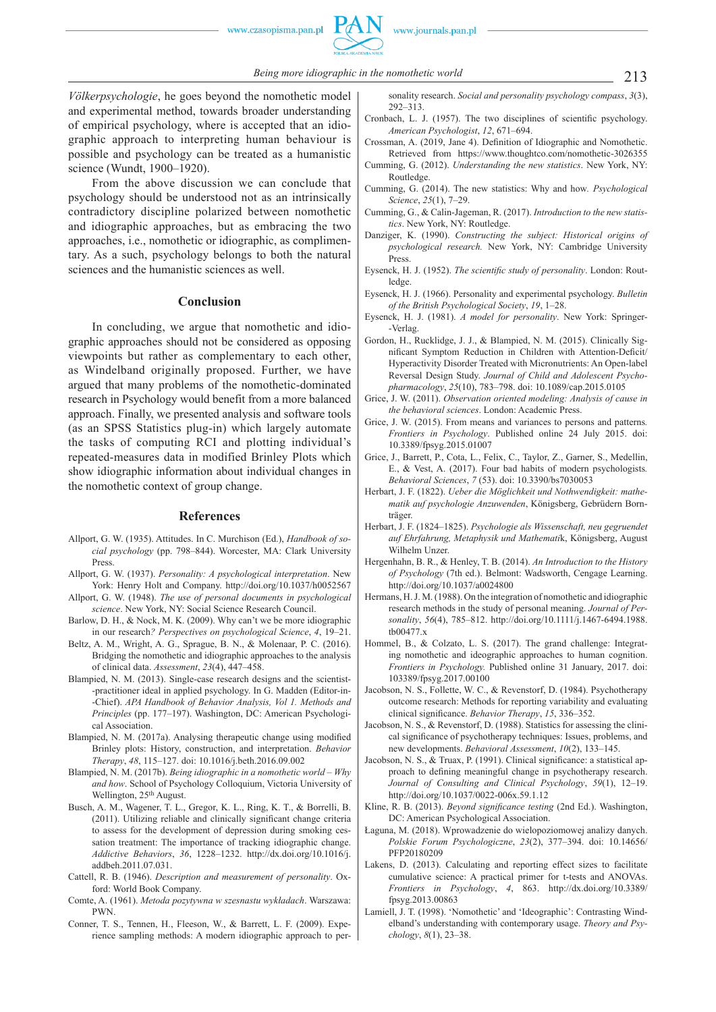*Völkerpsychologie*, he goes beyond the nomothetic model and experimental method, towards broader understanding of empirical psychology, where is accepted that an idiographic approach to interpreting human behaviour is possible and psychology can be treated as a humanistic science (Wundt, 1900–1920).

From the above discussion we can conclude that psychology should be understood not as an intrinsically contradictory discipline polarized between nomothetic and idiographic approaches, but as embracing the two approaches, i.e., nomothetic or idiographic, as complimentary. As a such, psychology belongs to both the natural sciences and the humanistic sciences as well.

#### **Conclusion**

In concluding, we argue that nomothetic and idiographic approaches should not be considered as opposing viewpoints but rather as complementary to each other, as Windelband originally proposed. Further, we have argued that many problems of the nomothetic -dominated research in Psychology would benefit from a more balanced approach. Finally, we presented analysis and software tools (as an SPSS Statistics plug-in) which largely automate the tasks of computing RCI and plotting individual's repeated -measures data in modified Brinley Plots which show idiographic information about individual changes in the nomothetic context of group change.

#### **References**

- Allport, G. W. (1935). Attitudes. In C. Murchison (Ed.), *Handbook of social psychology* (pp. 798–844). Worcester, MA: Clark University **Press**
- Allport, G. W. (1937). *Personality: A psychological interpretation*. New York: Henry Holt and Company. http://doi.org/10.1037/h0052567
- Allport, G. W. (1948). *The use of personal documents in psychological science*. New York, NY: Social Science Research Council.
- Barlow, D. H., & Nock, M. K. (2009). Why can't we be more idiographic in our research*? Perspectives on psychological Science*, *4*, 19–21.
- Beltz, A. M., Wright, A. G., Sprague, B. N., & Molenaar, P. C. (2016). Bridging the nomothetic and idiographic approaches to the analysis of clinical data. *Assessment*, *23*(4), 447–458.
- Blampied, N. M. (2013). Single -case research designs and the scientist- -practitioner ideal in applied psychology. In G. Madden (Editor -in- -Chief). *APA Handbook of Behavior Analysis, Vol 1. Methods and Principles* (pp. 177–197). Washington, DC: American Psychological Association.
- Blampied, N. M. (2017a). Analysing therapeutic change using modified Brinley plots: History, construction, and interpretation. *Behavior Therapy*, *48*, 115–127. doi: 10.1016/j.beth.2016.09.002
- Blampied, N. M. (2017b). *Being idiographic in a nomothetic world Why and how*. School of Psychology Colloquium, Victoria University of Wellington, 25<sup>th</sup> August.
- Busch, A. M., Wagener, T. L., Gregor, K. L., Ring, K. T., & Borrelli, B. (2011). Utilizing reliable and clinically significant change criteria to assess for the development of depression during smoking cessation treatment: The importance of tracking idiographic change. *Addictive Behaviors*, *36*, 1228–1232. http://dx.doi.org/10.1016/j. addbeh.2011.07.031.
- Cattell, R. B. (1946). *Description and measurement of personality*. Oxford: World Book Company.
- Comte, A. (1961). *Metoda pozytywna w szesnastu wykładach*. Warszawa: PWN.
- Conner, T. S., Tennen, H., Fleeson, W., & Barrett, L. F. (2009). Experience sampling methods: A modern idiographic approach to per-

sonality research. *Social and personality psychology compass*, *3*(3), 292–313.

- Cronbach, L. J. (1957). The two disciplines of scientific psychology. *American Psychologist*, *12*, 671–694.
- Crossman, A. (2019, Jane 4). Definition of Idiographic and Nomothetic. Retrieved from https://www.thoughtco.com/nomothetic-3026355
- Cumming, G. (2012). *Understanding the new statistics*. New York, NY: Routledge.
- Cumming, G. (2014). The new statistics: Why and how*. Psychological Science*, *25*(1), 7–29.
- Cumming, G., & Calin -Jageman, R. (2017). *Introduction to the new statistics*. New York, NY: Routledge.
- Danziger, K. (1990). *Constructing the subject: Historical origins of psychological research.* New York, NY: Cambridge University Press.
- Eysenck, H. J. (1952). *The scientific study of personality*. London: Routledge.
- Eysenck, H. J. (1966). Personality and experimental psychology. *Bulletin of the British Psychological Society*, *19*, 1–28.
- Eysenck, H. J. (1981). *A model for personality*. New York: Springer- -Verlag.
- Gordon, H., Rucklidge, J. J., & Blampied, N. M. (2015). Clinically Significant Symptom Reduction in Children with Attention-Deficit/ Hyperactivity Disorder Treated with Micronutrients: An Open -label Reversal Design Study. *Journal of Child and Adolescent Psychopharmacology*, *25*(10), 783–798. doi: 10.1089/cap.2015.0105
- Grice, J. W. (2011). *Observation oriented modeling: Analysis of cause in the behavioral sciences*. London: Academic Press.
- Grice, J. W. (2015). From means and variances to persons and patterns*. Frontiers in Psychology*. Published online 24 July 2015. doi: 10.3389/fpsyg.2015.01007
- Grice, J., Barrett, P., Cota, L., Felix, C., Taylor, Z., Garner, S., Medellin, E., & Vest, A. (2017). Four bad habits of modern psychologists*. Behavioral Sciences*, *7* (53). doi: 10.3390/bs7030053
- Herbart, J. F. (1822). *Ueber die Möglichkeit und Nothwendigkeit: mathematik auf psychologie Anzuwenden*, Königsberg, Gebrüdern Bornträger.
- Herbart, J. F. (1824–1825). *Psychologie als Wissenschaft, neu gegruendet auf Ehrfahrung, Metaphysik und Mathemati*k, Königsberg, August Wilhelm Unzer.
- Hergenhahn, B. R., & Henley, T. B. (2014). *An Introduction to the History of Psychology* (7th ed.). Belmont: Wadsworth, Cengage Learning. http://doi.org/10.1037/a0024800
- Hermans, H. J. M. (1988). On the integration of nomothetic and idiographic research methods in the study of personal meaning. *Journal of Personality*, *56*(4), 785–812. http://doi.org/10.1111/j.1467 -6494.1988. tb00477.x
- Hommel, B., & Colzato, L. S. (2017). The grand challenge: Integrating nomothetic and ideographic approaches to human cognition. *Frontiers in Psychology.* Published online 31 January, 2017. doi: 103389/fpsyg.2017.00100
- Jacobson, N. S., Follette, W. C., & Revenstorf, D. (1984). Psychotherapy outcome research: Methods for reporting variability and evaluating clinical significance. *Behavior Therapy*, 15, 336-352.
- Jacobson, N. S., & Revenstorf, D. (1988). Statistics for assessing the clinical significance of psychotherapy techniques: Issues, problems, and new developments. *Behavioral Assessment*, *10*(2), 133–145.
- Jacobson, N. S., & Truax, P. (1991). Clinical significance: a statistical approach to defining meaningful change in psychotherapy research. *Journal of Consulting and Clinical Psychology*, *59*(1), 12–19. http://doi.org/10.1037/0022 -006x.59.1.12
- Kline, R. B. (2013). *Beyond significance testing* (2nd Ed.). Washington, DC: American Psychological Association.
- Łaguna, M. (2018). Wprowadzenie do wielopoziomowej analizy danych. *Polskie Forum Psychologiczne*, *23*(2), 377–394. doi: 10.14656/ PFP20180209
- Lakens, D. (2013). Calculating and reporting effect sizes to facilitate cumulative science: A practical primer for t -tests and ANOVAs. *Frontiers in Psychology*, *4*, 863. http://dx.doi.org/10.3389/ fpsyg.2013.00863
- Lamiell, J. T. (1998). 'Nomothetic' and 'Ideographic': Contrasting Windelband's understanding with contemporary usage. *Theory and Psychology*, *8*(1), 23–38.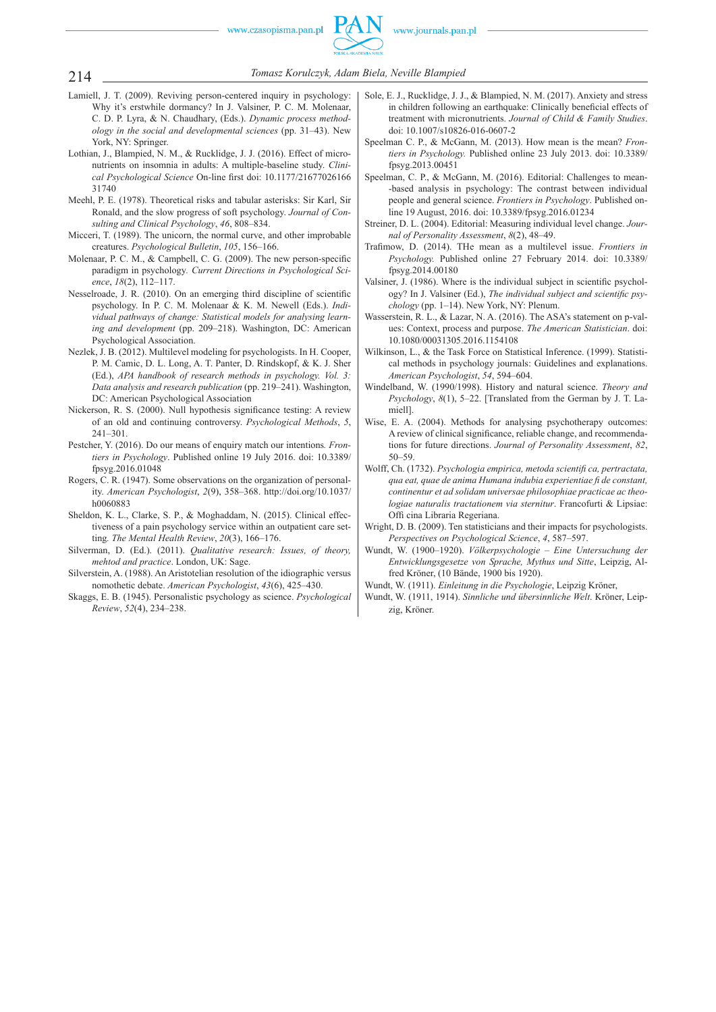

- 214 *Tomasz Korulczyk, Adam Biela, Neville Blampied*
- Lamiell, J. T. (2009). Reviving person -centered inquiry in psychology: Why it's erstwhile dormancy? In J. Valsiner, P. C. M. Molenaar, C. D. P. Lyra, & N. Chaudhary, (Eds.). *Dynamic process methodology in the social and developmental sciences* (pp. 31–43). New York, NY: Springer.
- Lothian, J., Blampied, N. M., & Rucklidge, J. J. (2016). Effect of micronutrients on insomnia in adults: A multiple -baseline study. *Clinical Psychological Science On-line first doi: 10.1177/21677026166* 31740
- Meehl, P. E. (1978). Theoretical risks and tabular asterisks: Sir Karl, Sir Ronald, and the slow progress of soft psychology. *Journal of Consulting and Clinical Psychology*, *46*, 808–834.
- Micceri, T. (1989). The unicorn, the normal curve, and other improbable creatures. *Psychological Bulletin*, *105*, 156–166.
- Molenaar, P. C. M., & Campbell, C. G. (2009). The new person-specific paradigm in psychology*. Current Directions in Psychological Science*, *18*(2), 112–117.
- Nesselroade, J. R. (2010). On an emerging third discipline of scientific psychology. In P. C. M. Molenaar & K. M. Newell (Eds.). *Individual pathways of change: Statistical models for analysing learning and development* (pp. 209–218). Washington, DC: American Psychological Association.
- Nezlek, J. B. (2012). Multilevel modeling for psychologists. In H. Cooper, P. M. Camic, D. L. Long, A. T. Panter, D. Rindskopf, & K. J. Sher (Ed.), *APA handbook of research methods in psychology. Vol. 3: Data analysis and research publication* (pp. 219–241). Washington, DC: American Psychological Association
- Nickerson, R. S. (2000). Null hypothesis significance testing: A review of an old and continuing controversy. *Psychological Methods*, *5*, 241–301.
- Pestcher, Y. (2016). Do our means of enquiry match our intentions*. Frontiers in Psychology*. Published online 19 July 2016. doi: 10.3389/ fpsyg.2016.01048
- Rogers, C. R. (1947). Some observations on the organization of personality. *American Psychologist*, *2*(9), 358–368. http://doi.org/10.1037/ h0060883
- Sheldon, K. L., Clarke, S. P., & Moghaddam, N. (2015). Clinical effectiveness of a pain psychology service within an outpatient care setting*. The Mental Health Review*, *20*(3), 166–176.
- Silverman, D. (Ed.). (2011). *Qualitative research: Issues, of theory, mehtod and practice*. London, UK: Sage.
- Silverstein, A. (1988). An Aristotelian resolution of the idiographic versus nomothetic debate. *American Psychologist*, *43*(6), 425–430.
- Skaggs, E. B. (1945). Personalistic psychology as science. *Psychological Review*, *52*(4), 234–238.
- Sole, E. J., Rucklidge, J. J., & Blampied, N. M. (2017). Anxiety and stress in children following an earthquake: Clinically beneficial effects of treatment with micronutrients. *Journal of Child & Family Studies*. doi: 10.1007/s10826 -016 -0607 -2
- Speelman C. P., & McGann, M. (2013). How mean is the mean? *Frontiers in Psychology.* Published online 23 July 2013. doi: 10.3389/ fpsyg.2013.00451
- Speelman, C. P., & McGann, M. (2016). Editorial: Challenges to mean--based analysis in psychology: The contrast between individual people and general science. *Frontiers in Psychology*. Published online 19 August, 2016. doi: 10.3389/fpsyg.2016.01234
- Streiner, D. L. (2004). Editorial: Measuring individual level change. *Journal of Personality Assessment*, *8*(2), 48–49.
- Trafimow, D. (2014). THe mean as a multilevel issue. *Frontiers in Psychology.* Published online 27 February 2014. doi: 10.3389/ fpsyg.2014.00180
- Valsiner, J. (1986). Where is the individual subject in scientific psychology? In J. Valsiner (Ed.), *The individual subject and scientific psychology* (pp. 1–14). New York, NY: Plenum.
- Wasserstein, R. L., & Lazar, N. A. (2016). The ASA's statement on p-values: Context, process and purpose. *The American Statistician*. doi: 10.1080/00031305.2016.1154108
- Wilkinson, L., & the Task Force on Statistical Inference. (1999). Statistical methods in psychology journals: Guidelines and explanations. *American Psychologist*, *54*, 594–604.
- Windelband, W. (1990/1998). History and natural science. *Theory and Psychology*, *8*(1), 5–22. [Translated from the German by J. T. Lamiell].
- Wise, E. A. (2004). Methods for analysing psychotherapy outcomes: A review of clinical significance, reliable change, and recommendations for future directions. *Journal of Personality Assessment*, *82*, 50–59.
- Wolff, Ch. (1732). *Psychologia empirica, metoda scientifi ca, pertractata, qua eat, quae de anima Humana indubia experientiae fi de constant, continentur et ad solidam universae philosophiae practicae ac theologiae naturalis tractationem via sternitur*. Francofurti & Lipsiae: Offi cina Libraria Regeriana.
- Wright, D. B. (2009). Ten statisticians and their impacts for psychologists. *Perspectives on Psychological Science*, *4*, 587–597.
- Wundt, W. (1900–1920). *Völkerpsychologie Eine Untersuchung der Entwicklungsgesetze von Sprache, Mythus und Sitte*, Leipzig, Alfred Kröner, (10 Bände, 1900 bis 1920).
- Wundt, W. (1911). *Einleitung in die Psychologie*, Leipzig Kröner,
- Wundt, W. (1911, 1914). *Sinnliche und übersinnliche Welt*. Kröner, Leipzig, Kröner.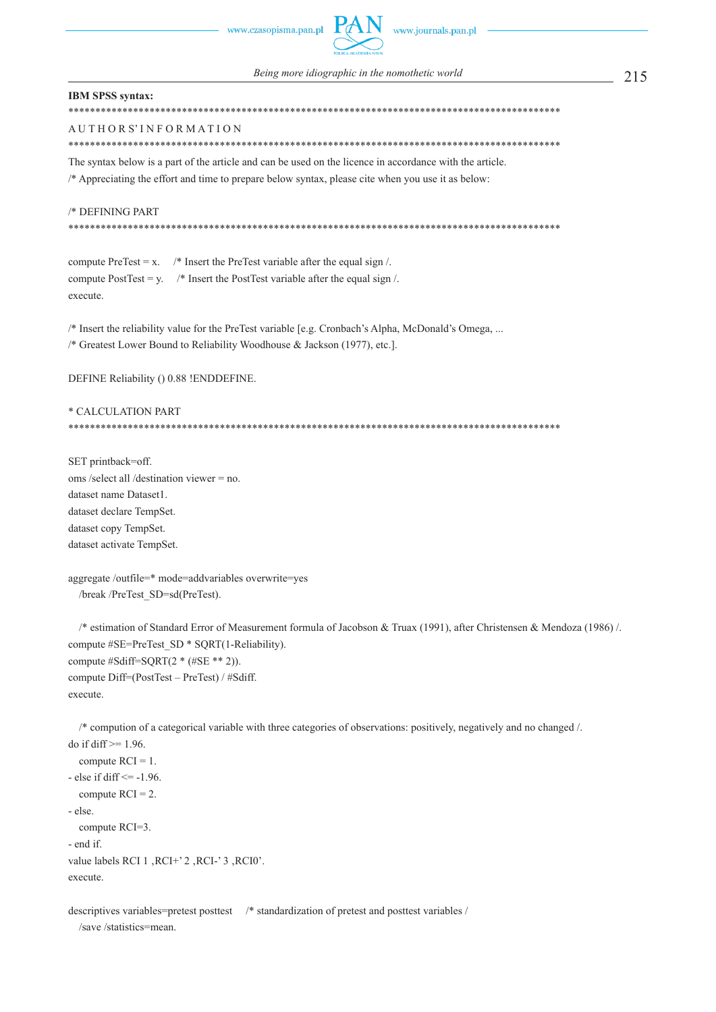#### **IBM SPSS syntax:**

\*\*\*\*\*\*\*\*\*\*\*\*\*\*\*\*\*\*\*\*\*\*\*\*\*\*\*\*\*\*\*\*\*\*\*\*\*\*\*\*\*\*\*\*\*\*\*\*\*\*\*\*\*\*\*\*\*\*\*\*\*\*\*\*\*\*\*\*\*\*\*\*\*\*\*\*\*\*\*\*\*\*\*\*\*\*\*\*\*\*\*

## A U T H O R S' I N F O R M A T I O N

\*\*\*\*\*\*\*\*\*\*\*\*\*\*\*\*\*\*\*\*\*\*\*\*\*\*\*\*\*\*\*\*\*\*\*\*\*\*\*\*\*\*\*\*\*\*\*\*\*\*\*\*\*\*\*\*\*\*\*\*\*\*\*\*\*\*\*\*\*\*\*\*\*\*\*\*\*\*\*\*\*\*\*\*\*\*\*\*\*\*\*

The syntax below is a part of the article and can be used on the licence in accordance with the article. /\* Appreciating the effort and time to prepare below syntax, please cite when you use it as below:

/\* DEFINING PART

\*\*\*\*\*\*\*\*\*\*\*\*\*\*\*\*\*\*\*\*\*\*\*\*\*\*\*\*\*\*\*\*\*\*\*\*\*\*\*\*\*\*\*\*\*\*\*\*\*\*\*\*\*\*\*\*\*\*\*\*\*\*\*\*\*\*\*\*\*\*\*\*\*\*\*\*\*\*\*\*\*\*\*\*\*\*\*\*\*\*\*

compute PreTest =  $x$ . /\* Insert the PreTest variable after the equal sign /. compute PostTest = y.  $\quad$  /\* Insert the PostTest variable after the equal sign  $\land$ . execute.

/\* Insert the reliability value for the PreTest variable [e.g. Cronbach's Alpha, McDonald's Omega, ... /\* Greatest Lower Bound to Reliability Woodhouse & Jackson (1977), etc.].

DEFINE Reliability () 0.88 !ENDDEFINE.

#### \* CALCULATION PART \*\*\*\*\*\*\*\*\*\*\*\*\*\*\*\*\*\*\*\*\*\*\*\*\*\*\*\*\*\*\*\*\*\*\*\*\*\*\*\*\*\*\*\*\*\*\*\*\*\*\*\*\*\*\*\*\*\*\*\*\*\*\*\*\*\*\*\*\*\*\*\*\*\*\*\*\*\*\*\*\*\*\*\*\*\*\*\*\*\*\*

SET printback=off. oms /select all /destination viewer = no. dataset name Dataset1. dataset declare TempSet. dataset copy TempSet. dataset activate TempSet.

aggregate /outfile=\* mode=addvariables overwrite=yes /break /PreTest\_SD=sd(PreTest).

 /\* estimation of Standard Error of Measurement formula of Jacobson & Truax (1991), after Christensen & Mendoza (1986) /. compute #SE=PreTest\_SD \* SQRT(1-Reliability). compute #Sdiff=SQRT(2 \* (#SE \*\* 2)). compute Diff=(PostTest – PreTest) / #Sdiff. execute.

 /\* compution of a categorical variable with three categories of observations: positively, negatively and no changed /. do if diff  $>= 1.96$ .

```
compute RCI = 1.
- else if diff \le -1.96.
  compute RCI = 2.
 - else.
   compute RCI=3.
 - end if.
value labels RCI 1, RCI+' 2, RCI-' 3, RCI0'.
execute.
```
descriptives variables=pretest posttest /\* standardization of pretest and posttest variables / /save /statistics=mean.